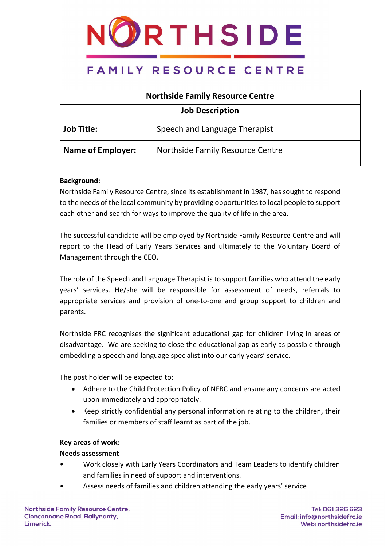

| <b>Northside Family Resource Centre</b> |                                  |  |
|-----------------------------------------|----------------------------------|--|
| <b>Job Description</b>                  |                                  |  |
| <b>Job Title:</b>                       | Speech and Language Therapist    |  |
| <b>Name of Employer:</b>                | Northside Family Resource Centre |  |

### **Background**:

Northside Family Resource Centre, since its establishment in 1987, has sought to respond to the needs of the local community by providing opportunities to local people to support each other and search for ways to improve the quality of life in the area.

The successful candidate will be employed by Northside Family Resource Centre and will report to the Head of Early Years Services and ultimately to the Voluntary Board of Management through the CEO.

The role of the Speech and Language Therapist is to support families who attend the early years' services. He/she will be responsible for assessment of needs, referrals to appropriate services and provision of one-to-one and group support to children and parents.

Northside FRC recognises the significant educational gap for children living in areas of disadvantage. We are seeking to close the educational gap as early as possible through embedding a speech and language specialist into our early years' service.

The post holder will be expected to:

- Adhere to the Child Protection Policy of NFRC and ensure any concerns are acted upon immediately and appropriately.
- Keep strictly confidential any personal information relating to the children, their families or members of staff learnt as part of the job.

### **Key areas of work:**

### **Needs assessment**

- Work closely with Early Years Coordinators and Team Leaders to identify children and families in need of support and interventions.
- Assess needs of families and children attending the early years' service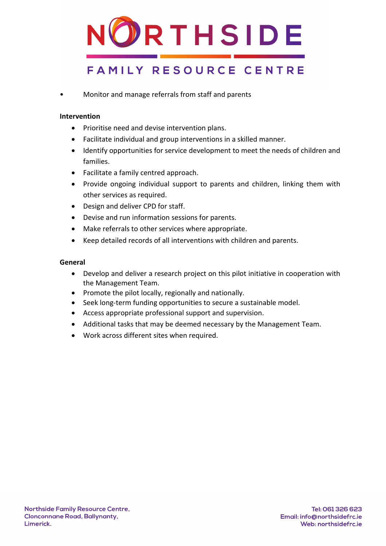

• Monitor and manage referrals from staff and parents

### **Intervention**

- Prioritise need and devise intervention plans.
- Facilitate individual and group interventions in a skilled manner.
- Identify opportunities for service development to meet the needs of children and families.
- Facilitate a family centred approach.
- Provide ongoing individual support to parents and children, linking them with other services as required.
- Design and deliver CPD for staff.
- Devise and run information sessions for parents.
- Make referrals to other services where appropriate.
- Keep detailed records of all interventions with children and parents.

### **General**

- Develop and deliver a research project on this pilot initiative in cooperation with the Management Team.
- Promote the pilot locally, regionally and nationally.
- Seek long-term funding opportunities to secure a sustainable model.
- Access appropriate professional support and supervision.
- Additional tasks that may be deemed necessary by the Management Team.
- Work across different sites when required.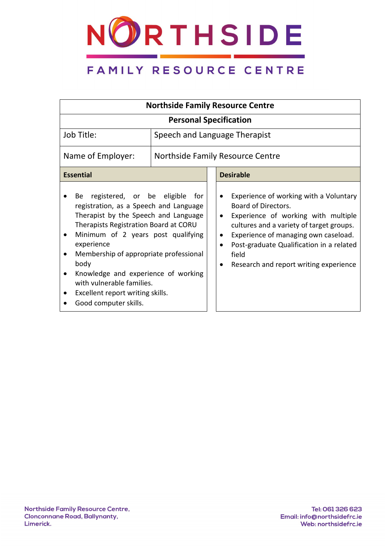

| <b>Northside Family Resource Centre</b>                                                                                                                                                                                                                                                                                                                                                                   |  |                                                                                                                                                                                                                                                                                                                                                  |  |  |
|-----------------------------------------------------------------------------------------------------------------------------------------------------------------------------------------------------------------------------------------------------------------------------------------------------------------------------------------------------------------------------------------------------------|--|--------------------------------------------------------------------------------------------------------------------------------------------------------------------------------------------------------------------------------------------------------------------------------------------------------------------------------------------------|--|--|
| <b>Personal Specification</b>                                                                                                                                                                                                                                                                                                                                                                             |  |                                                                                                                                                                                                                                                                                                                                                  |  |  |
| Job Title:                                                                                                                                                                                                                                                                                                                                                                                                |  | Speech and Language Therapist                                                                                                                                                                                                                                                                                                                    |  |  |
| Name of Employer:                                                                                                                                                                                                                                                                                                                                                                                         |  | Northside Family Resource Centre                                                                                                                                                                                                                                                                                                                 |  |  |
| <b>Essential</b>                                                                                                                                                                                                                                                                                                                                                                                          |  | <b>Desirable</b>                                                                                                                                                                                                                                                                                                                                 |  |  |
| registered, or be eligible<br>for<br>Be<br>registration, as a Speech and Language<br>Therapist by the Speech and Language<br>Therapists Registration Board at CORU<br>Minimum of 2 years post qualifying<br>experience<br>Membership of appropriate professional<br>body<br>Knowledge and experience of working<br>with vulnerable families.<br>Excellent report writing skills.<br>Good computer skills. |  | Experience of working with a Voluntary<br>$\bullet$<br>Board of Directors.<br>Experience of working with multiple<br>$\bullet$<br>cultures and a variety of target groups.<br>Experience of managing own caseload.<br>٠<br>Post-graduate Qualification in a related<br>$\bullet$<br>field<br>Research and report writing experience<br>$\bullet$ |  |  |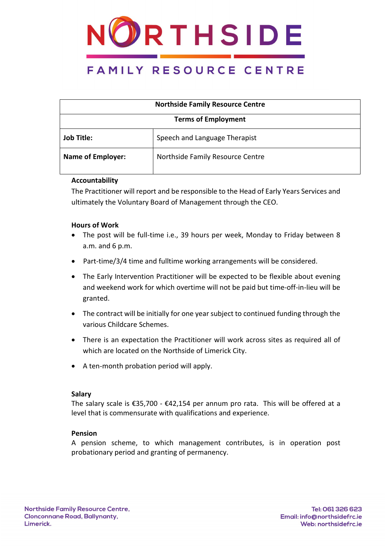

| <b>Northside Family Resource Centre</b> |                                  |  |
|-----------------------------------------|----------------------------------|--|
| <b>Terms of Employment</b>              |                                  |  |
| <b>Job Title:</b>                       | Speech and Language Therapist    |  |
| <b>Name of Employer:</b>                | Northside Family Resource Centre |  |

### **Accountability**

The Practitioner will report and be responsible to the Head of Early Years Services and ultimately the Voluntary Board of Management through the CEO.

### **Hours of Work**

- The post will be full-time i.e., 39 hours per week, Monday to Friday between 8 a.m. and 6 p.m.
- Part-time/3/4 time and fulltime working arrangements will be considered.
- The Early Intervention Practitioner will be expected to be flexible about evening and weekend work for which overtime will not be paid but time-off-in-lieu will be granted.
- The contract will be initially for one year subject to continued funding through the various Childcare Schemes.
- There is an expectation the Practitioner will work across sites as required all of which are located on the Northside of Limerick City.
- A ten-month probation period will apply.

### **Salary**

The salary scale is  $\text{\textsterling}35,700 - \text{\textsterling}42,154$  per annum pro rata. This will be offered at a level that is commensurate with qualifications and experience.

### **Pension**

A pension scheme, to which management contributes, is in operation post probationary period and granting of permanency.